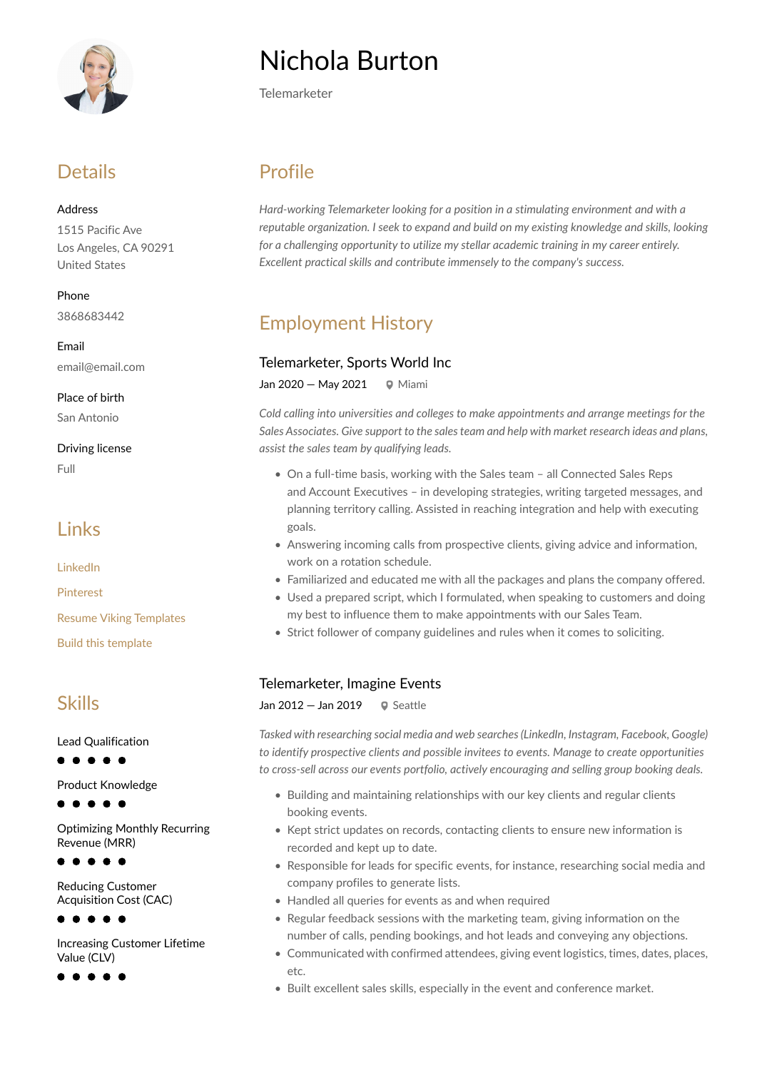

### **Details**

Address 1515 Pacific Ave Los Angeles, CA 90291 United States

Phone 3868683442

Email email@email.com

Place of birth San Antonio

Driving license Full

### Links

[LinkedIn](https://www.linkedin.com/)

[Pinterest](https://www.pinterest.es/resumeviking/)

[Resume Viking Templates](https://www.resumeviking.com/templates/word/)

[Build this template](https://resume.io/?id=cpdokyF1)

### Skills

Lead Qualification

Product Knowledge

Optimizing Monthly Recurring Revenue (MRR)

 $\bullet\bullet\bullet\bullet$ 

Reducing Customer Acquisition Cost (CAC)

 $\bullet\hspace{0.1cm} \bullet\hspace{0.1cm}\bullet\hspace{0.1cm}\bullet\hspace{0.1cm} \bullet$ 

Increasing Customer Lifetime Value (CLV)

# Nichola Burton

Telemarketer

# Profile

*Hard-working Telemarketer looking for a position in a stimulating environment and with a reputable organization. I seek to expand and build on my existing knowledge and skills, looking for a challenging opportunity to utilize my stellar academic training in my career entirely. Excellent practical skills and contribute immensely to the company's success.*

# Employment History

#### Telemarketer, Sports World Inc

Jan 2020 – May 2021  $\qquad \qquad \bullet$  Miami

*Cold calling into universities and colleges to make appointments and arrange meetings for the Sales Associates. Give support to the sales team and help with market research ideas and plans, assist the sales team by qualifying leads.*

- On a full-time basis, working with the Sales team all Connected Sales Reps and Account Executives – in developing strategies, writing targeted messages, and planning territory calling. Assisted in reaching integration and help with executing goals.
- Answering incoming calls from prospective clients, giving advice and information, work on a rotation schedule.
- Familiarized and educated me with all the packages and plans the company offered.
- Used a prepared script, which I formulated, when speaking to customers and doing my best to influence them to make appointments with our Sales Team.
- Strict follower of company guidelines and rules when it comes to soliciting.

#### Telemarketer, Imagine Events

Jan  $2012 -$  Jan  $2019 - 9$  Seattle

*Tasked with researching social media and web searches (LinkedIn, Instagram, Facebook, Google) to identify prospective clients and possible invitees to events. Manage to create opportunities to cross-sell across our events portfolio, actively encouraging and selling group booking deals.*

- Building and maintaining relationships with our key clients and regular clients booking events.
- Kept strict updates on records, contacting clients to ensure new information is recorded and kept up to date.
- Responsible for leads for specific events, for instance, researching social media and company profiles to generate lists.
- Handled all queries for events as and when required
- Regular feedback sessions with the marketing team, giving information on the number of calls, pending bookings, and hot leads and conveying any objections.
- Communicated with confirmed attendees, giving event logistics, times, dates, places, etc.
- Built excellent sales skills, especially in the event and conference market.